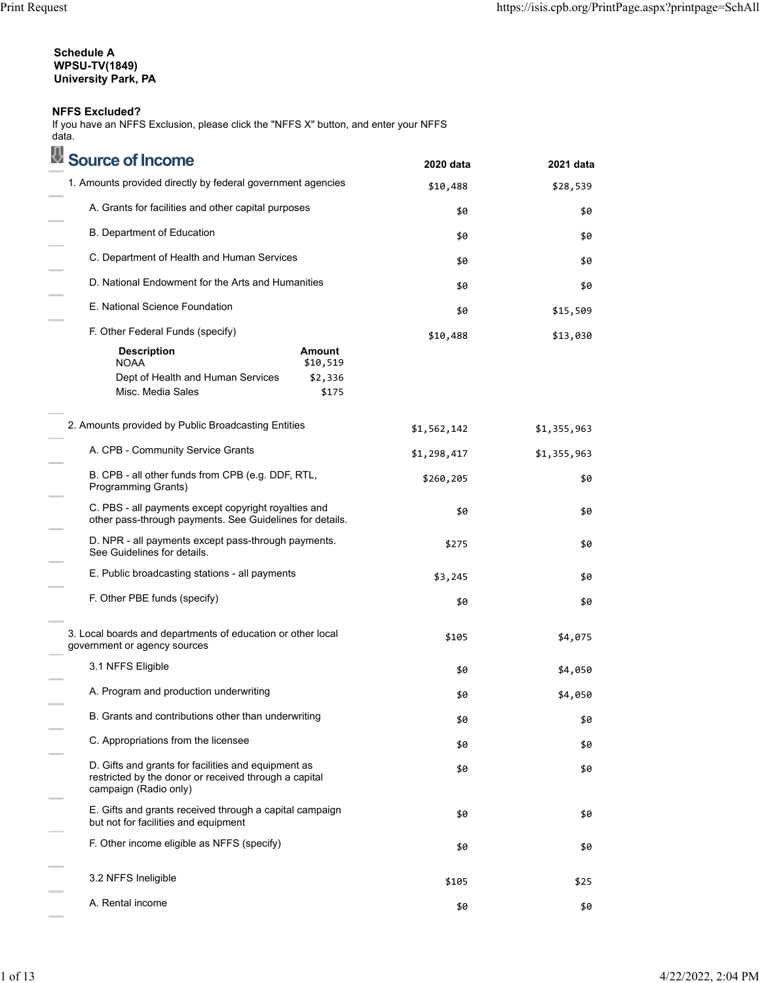## **Schedule A WPSU-TV(1849) University Park, PA**

## **NFFS Excluded?**

If you have an NFFS Exclusion, please click the "NFFS X" button, and enter your NFFS data.

| Source of Income                                                                                                                      | 2020 data   | 2021 data   |
|---------------------------------------------------------------------------------------------------------------------------------------|-------------|-------------|
| 1. Amounts provided directly by federal government agencies                                                                           | \$10,488    | \$28,539    |
| A. Grants for facilities and other capital purposes                                                                                   | \$0         | \$0         |
| B. Department of Education                                                                                                            | \$0         | \$0         |
| C. Department of Health and Human Services                                                                                            | \$0         | \$0         |
| D. National Endowment for the Arts and Humanities                                                                                     | \$0         | \$0         |
| E. National Science Foundation                                                                                                        | \$0         | \$15,509    |
| F. Other Federal Funds (specify)                                                                                                      | \$10,488    | \$13,030    |
| Amount<br><b>Description</b><br><b>NOAA</b><br>\$10,519<br>\$2,336<br>Dept of Health and Human Services<br>Misc. Media Sales<br>\$175 |             |             |
| 2. Amounts provided by Public Broadcasting Entities                                                                                   | \$1,562,142 | \$1,355,963 |
| A. CPB - Community Service Grants                                                                                                     | \$1,298,417 | \$1,355,963 |
| B. CPB - all other funds from CPB (e.g. DDF, RTL,<br>Programming Grants)                                                              | \$260,205   | \$0         |
| C. PBS - all payments except copyright royalties and<br>other pass-through payments. See Guidelines for details.                      | \$0         | \$0         |
| D. NPR - all payments except pass-through payments.<br>See Guidelines for details.                                                    | \$275       | \$0         |
| E. Public broadcasting stations - all payments                                                                                        | \$3,245     | \$0         |
| F. Other PBE funds (specify)                                                                                                          | \$0         | \$0         |
| 3. Local boards and departments of education or other local<br>government or agency sources                                           | \$105       | \$4,075     |
| 3.1 NFFS Eligible                                                                                                                     | \$0         | \$4,050     |
| A. Program and production underwriting                                                                                                | \$0         | \$4,050     |
| B. Grants and contributions other than underwriting                                                                                   | \$0         | \$0         |
| C. Appropriations from the licensee                                                                                                   | \$0         | \$0         |
| D. Gifts and grants for facilities and equipment as<br>restricted by the donor or received through a capital<br>campaign (Radio only) | \$0         | \$0         |
| E. Gifts and grants received through a capital campaign<br>but not for facilities and equipment                                       | \$0         | \$0         |
| F. Other income eligible as NFFS (specify)                                                                                            | \$0         | \$0         |
| 3.2 NFFS Ineligible                                                                                                                   | \$105       | \$25        |
| A. Rental income                                                                                                                      | \$0         | \$0         |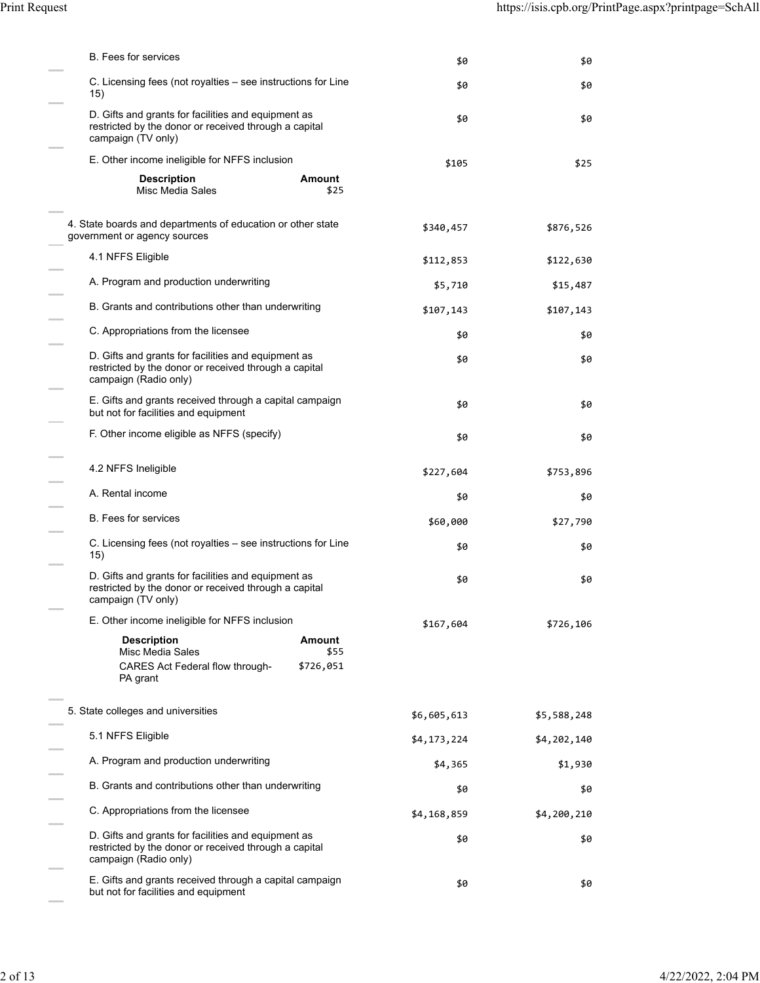| <b>B.</b> Fees for services                                                                                                           | \$0         | \$0         |
|---------------------------------------------------------------------------------------------------------------------------------------|-------------|-------------|
| C. Licensing fees (not royalties – see instructions for Line<br>15)                                                                   | \$0         | \$0         |
| D. Gifts and grants for facilities and equipment as<br>restricted by the donor or received through a capital<br>campaign (TV only)    | \$0         | \$0         |
| E. Other income ineligible for NFFS inclusion                                                                                         | \$105       | \$25        |
| <b>Description</b><br>Amount<br>Misc Media Sales<br>\$25                                                                              |             |             |
| 4. State boards and departments of education or other state<br>government or agency sources                                           | \$340,457   | \$876,526   |
| 4.1 NFFS Eligible                                                                                                                     | \$112,853   | \$122,630   |
| A. Program and production underwriting                                                                                                | \$5,710     | \$15,487    |
| B. Grants and contributions other than underwriting                                                                                   | \$107,143   | \$107,143   |
| C. Appropriations from the licensee                                                                                                   | \$0         | \$0         |
| D. Gifts and grants for facilities and equipment as<br>restricted by the donor or received through a capital<br>campaign (Radio only) | \$0         | \$0         |
| E. Gifts and grants received through a capital campaign<br>but not for facilities and equipment                                       | \$0         | \$0         |
| F. Other income eligible as NFFS (specify)                                                                                            | \$0         | \$0         |
| 4.2 NFFS Ineligible                                                                                                                   | \$227,604   | \$753,896   |
| A. Rental income                                                                                                                      | \$0         | \$0         |
| <b>B.</b> Fees for services                                                                                                           | \$60,000    | \$27,790    |
| C. Licensing fees (not royalties - see instructions for Line<br>15)                                                                   | \$0         | \$0         |
| D. Gifts and grants for facilities and equipment as<br>restricted by the donor or received through a capital<br>campaign (TV only)    | \$0         | \$0         |
| E. Other income ineligible for NFFS inclusion                                                                                         | \$167,604   | \$726,106   |
| <b>Description</b><br><b>Amount</b><br>Misc Media Sales<br>\$55                                                                       |             |             |
| CARES Act Federal flow through-<br>\$726,051<br>PA grant                                                                              |             |             |
| 5. State colleges and universities                                                                                                    | \$6,605,613 | \$5,588,248 |
| 5.1 NFFS Eligible                                                                                                                     | \$4,173,224 | \$4,202,140 |
| A. Program and production underwriting                                                                                                | \$4,365     | \$1,930     |
| B. Grants and contributions other than underwriting                                                                                   | \$0         | \$0         |
| C. Appropriations from the licensee                                                                                                   | \$4,168,859 | \$4,200,210 |
| D. Gifts and grants for facilities and equipment as<br>restricted by the donor or received through a capital<br>campaign (Radio only) | \$0         | \$0         |
| E. Gifts and grants received through a capital campaign<br>but not for facilities and equipment                                       | \$0         | \$0         |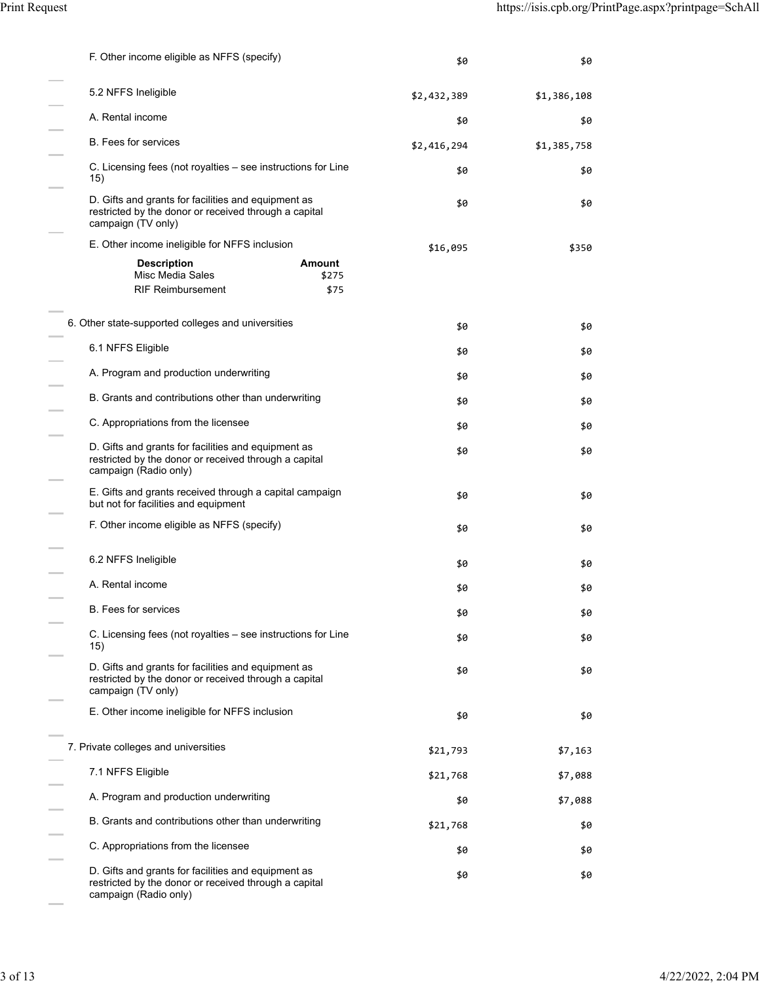| F. Other income eligible as NFFS (specify)                                                                                            | \$0         | \$0         |
|---------------------------------------------------------------------------------------------------------------------------------------|-------------|-------------|
| 5.2 NFFS Ineligible                                                                                                                   | \$2,432,389 | \$1,386,108 |
| A. Rental income                                                                                                                      | \$0         | \$0         |
| <b>B.</b> Fees for services                                                                                                           | \$2,416,294 | \$1,385,758 |
| C. Licensing fees (not royalties – see instructions for Line<br>15)                                                                   | \$0         | \$0         |
| D. Gifts and grants for facilities and equipment as<br>restricted by the donor or received through a capital<br>campaign (TV only)    | \$0         | \$0         |
| E. Other income ineligible for NFFS inclusion                                                                                         | \$16,095    | \$350       |
| <b>Amount</b><br><b>Description</b><br>Misc Media Sales<br>\$275                                                                      |             |             |
| <b>RIF Reimbursement</b><br>\$75                                                                                                      |             |             |
| 6. Other state-supported colleges and universities                                                                                    | \$0         | \$0         |
| 6.1 NFFS Eligible                                                                                                                     | \$0         | \$0         |
| A. Program and production underwriting                                                                                                | \$0         | \$0         |
| B. Grants and contributions other than underwriting                                                                                   | \$0         | \$0         |
| C. Appropriations from the licensee                                                                                                   | \$0         | \$0         |
| D. Gifts and grants for facilities and equipment as<br>restricted by the donor or received through a capital<br>campaign (Radio only) | \$0         | \$0         |
| E. Gifts and grants received through a capital campaign<br>but not for facilities and equipment                                       | \$0         | \$0         |
| F. Other income eligible as NFFS (specify)                                                                                            | \$0         | \$0         |
| 6.2 NFFS Ineligible                                                                                                                   | \$0         | \$0         |
| A. Rental income                                                                                                                      | \$0         | \$0         |
| B. Fees for services                                                                                                                  | \$0         | \$0         |
| C. Licensing fees (not royalties – see instructions for Line<br>15)                                                                   | \$0         | \$0         |
| D. Gifts and grants for facilities and equipment as<br>restricted by the donor or received through a capital<br>campaign (TV only)    | \$0         | \$0         |
| E. Other income ineligible for NFFS inclusion                                                                                         | \$0         | \$0         |
| 7. Private colleges and universities                                                                                                  | \$21,793    | \$7,163     |
| 7.1 NFFS Eligible                                                                                                                     | \$21,768    | \$7,088     |
| A. Program and production underwriting                                                                                                | \$0         | \$7,088     |
| B. Grants and contributions other than underwriting                                                                                   | \$21,768    | \$0         |
| C. Appropriations from the licensee                                                                                                   | \$0         | \$0         |
| D. Gifts and grants for facilities and equipment as<br>restricted by the donor or received through a capital<br>campaign (Radio only) | \$0         | \$0         |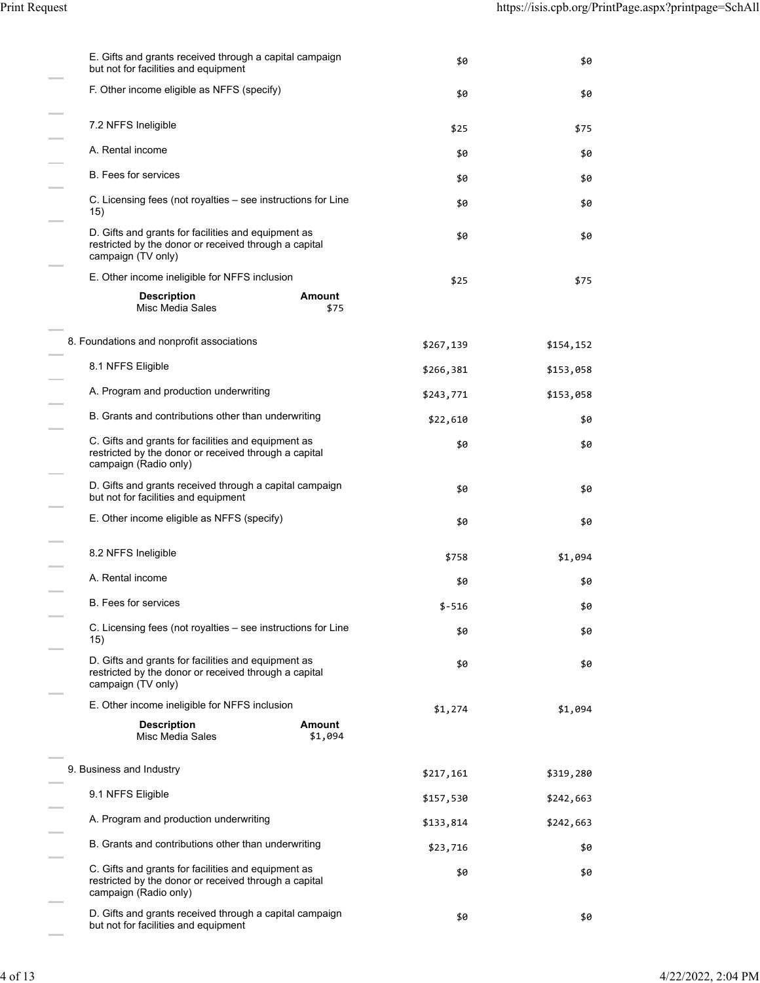| E. Gifts and grants received through a capital campaign<br>but not for facilities and equipment                                       | \$0       | \$0       |
|---------------------------------------------------------------------------------------------------------------------------------------|-----------|-----------|
| F. Other income eligible as NFFS (specify)                                                                                            | \$0       | \$0       |
| 7.2 NFFS Ineligible                                                                                                                   | \$25      | \$75      |
| A. Rental income                                                                                                                      | \$0       | \$0       |
| <b>B.</b> Fees for services                                                                                                           | \$0       | \$0       |
| C. Licensing fees (not royalties – see instructions for Line<br>15)                                                                   | \$0       | \$0       |
| D. Gifts and grants for facilities and equipment as<br>restricted by the donor or received through a capital<br>campaign (TV only)    | \$0       | \$0       |
| E. Other income ineligible for NFFS inclusion                                                                                         | \$25      | \$75      |
| Amount<br><b>Description</b><br>Misc Media Sales<br>\$75                                                                              |           |           |
| 8. Foundations and nonprofit associations                                                                                             | \$267,139 | \$154,152 |
| 8.1 NFFS Eligible                                                                                                                     | \$266,381 | \$153,058 |
| A. Program and production underwriting                                                                                                | \$243,771 | \$153,058 |
| B. Grants and contributions other than underwriting                                                                                   | \$22,610  | \$0       |
| C. Gifts and grants for facilities and equipment as<br>restricted by the donor or received through a capital<br>campaign (Radio only) | \$0       | \$0       |
| D. Gifts and grants received through a capital campaign<br>but not for facilities and equipment                                       | \$0       | \$0       |
| E. Other income eligible as NFFS (specify)                                                                                            | \$0       | \$0       |
| 8.2 NFFS Ineligible                                                                                                                   | \$758     | \$1,094   |
| A. Rental income                                                                                                                      | \$0       | \$0       |
| B. Fees for services                                                                                                                  | $$-516$   | \$0       |
| C. Licensing fees (not royalties - see instructions for Line<br>15)                                                                   | \$0       | \$0       |
| D. Gifts and grants for facilities and equipment as<br>restricted by the donor or received through a capital<br>campaign (TV only)    | \$0       | \$0       |
| E. Other income ineligible for NFFS inclusion                                                                                         | \$1,274   | \$1,094   |
| <b>Description</b><br><b>Amount</b><br>\$1,094<br>Misc Media Sales                                                                    |           |           |
| 9. Business and Industry                                                                                                              | \$217,161 | \$319,280 |
| 9.1 NFFS Eligible                                                                                                                     | \$157,530 | \$242,663 |
| A. Program and production underwriting                                                                                                | \$133,814 | \$242,663 |
| B. Grants and contributions other than underwriting                                                                                   | \$23,716  | \$0       |
| C. Gifts and grants for facilities and equipment as<br>restricted by the donor or received through a capital<br>campaign (Radio only) | \$0       | \$0       |
| D. Gifts and grants received through a capital campaign<br>but not for facilities and equipment                                       | \$0       | \$0       |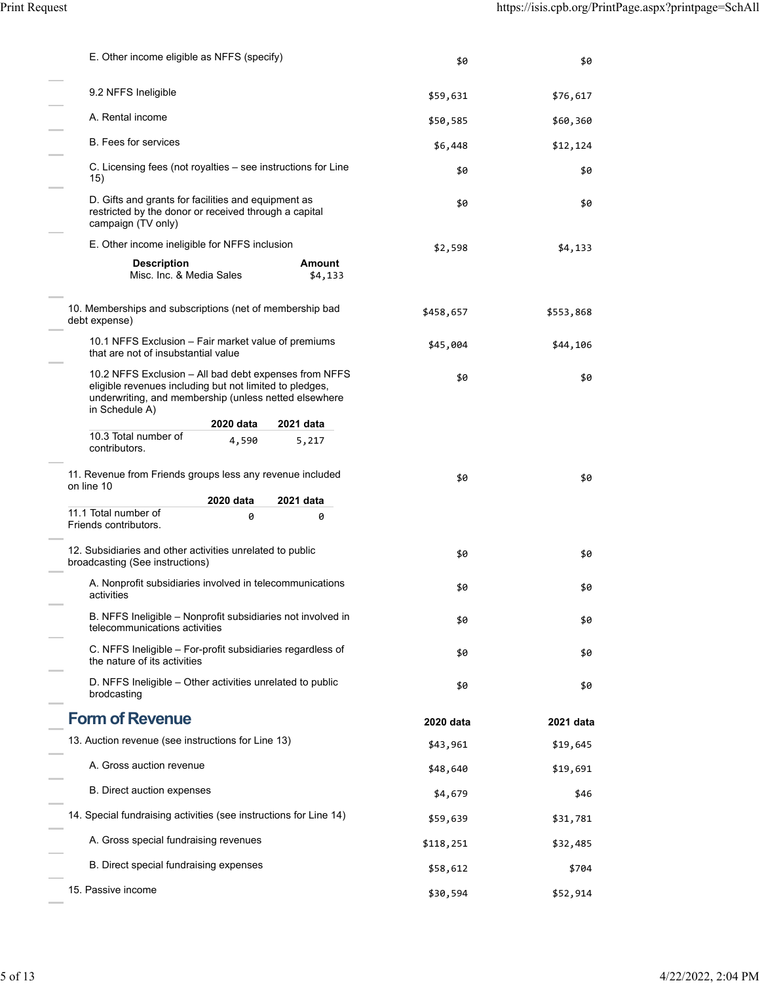| E. Other income eligible as NFFS (specify)                                                                                                                                                  | \$0       | \$0       |
|---------------------------------------------------------------------------------------------------------------------------------------------------------------------------------------------|-----------|-----------|
| 9.2 NFFS Ineligible                                                                                                                                                                         | \$59,631  | \$76,617  |
| A. Rental income                                                                                                                                                                            | \$50,585  | \$60,360  |
| <b>B.</b> Fees for services                                                                                                                                                                 | \$6,448   | \$12,124  |
| C. Licensing fees (not royalties – see instructions for Line<br>15)                                                                                                                         | \$0       | \$0       |
| D. Gifts and grants for facilities and equipment as<br>restricted by the donor or received through a capital<br>campaign (TV only)                                                          | \$0       | \$0       |
| E. Other income ineligible for NFFS inclusion                                                                                                                                               | \$2,598   | \$4,133   |
| <b>Description</b><br><b>Amount</b><br>Misc. Inc. & Media Sales<br>\$4,133                                                                                                                  |           |           |
| 10. Memberships and subscriptions (net of membership bad<br>debt expense)                                                                                                                   | \$458,657 | \$553,868 |
| 10.1 NFFS Exclusion - Fair market value of premiums<br>that are not of insubstantial value                                                                                                  | \$45,004  | \$44,106  |
| 10.2 NFFS Exclusion - All bad debt expenses from NFFS<br>eligible revenues including but not limited to pledges,<br>underwriting, and membership (unless netted elsewhere<br>in Schedule A) | \$0       | \$0       |
| 2020 data<br>2021 data                                                                                                                                                                      |           |           |
| 10.3 Total number of<br>4,590<br>5,217<br>contributors.                                                                                                                                     |           |           |
| 11. Revenue from Friends groups less any revenue included<br>on line 10<br>2020 data<br>2021 data                                                                                           | \$0       | \$0       |
| 11.1 Total number of<br>0<br>0                                                                                                                                                              |           |           |
| Friends contributors.                                                                                                                                                                       |           |           |
| 12. Subsidiaries and other activities unrelated to public<br>broadcasting (See instructions)                                                                                                | \$0       | \$0       |
| A. Nonprofit subsidiaries involved in telecommunications<br>activities                                                                                                                      | \$0       | \$0       |
| B. NFFS Ineligible - Nonprofit subsidiaries not involved in<br>telecommunications activities                                                                                                | \$0       | \$0       |
| C. NFFS Ineligible – For-profit subsidiaries regardless of<br>the nature of its activities                                                                                                  | \$0       | \$0       |
| D. NFFS Ineligible – Other activities unrelated to public<br>brodcasting                                                                                                                    | \$0       | \$0       |
| <b>Form of Revenue</b>                                                                                                                                                                      | 2020 data | 2021 data |
| 13. Auction revenue (see instructions for Line 13)                                                                                                                                          | \$43,961  | \$19,645  |
| A. Gross auction revenue                                                                                                                                                                    | \$48,640  | \$19,691  |
| B. Direct auction expenses                                                                                                                                                                  | \$4,679   | \$46      |
| 14. Special fundraising activities (see instructions for Line 14)                                                                                                                           | \$59,639  | \$31,781  |
| A. Gross special fundraising revenues                                                                                                                                                       | \$118,251 | \$32,485  |
| B. Direct special fundraising expenses                                                                                                                                                      | \$58,612  | \$704     |
| 15. Passive income                                                                                                                                                                          | \$30,594  | \$52,914  |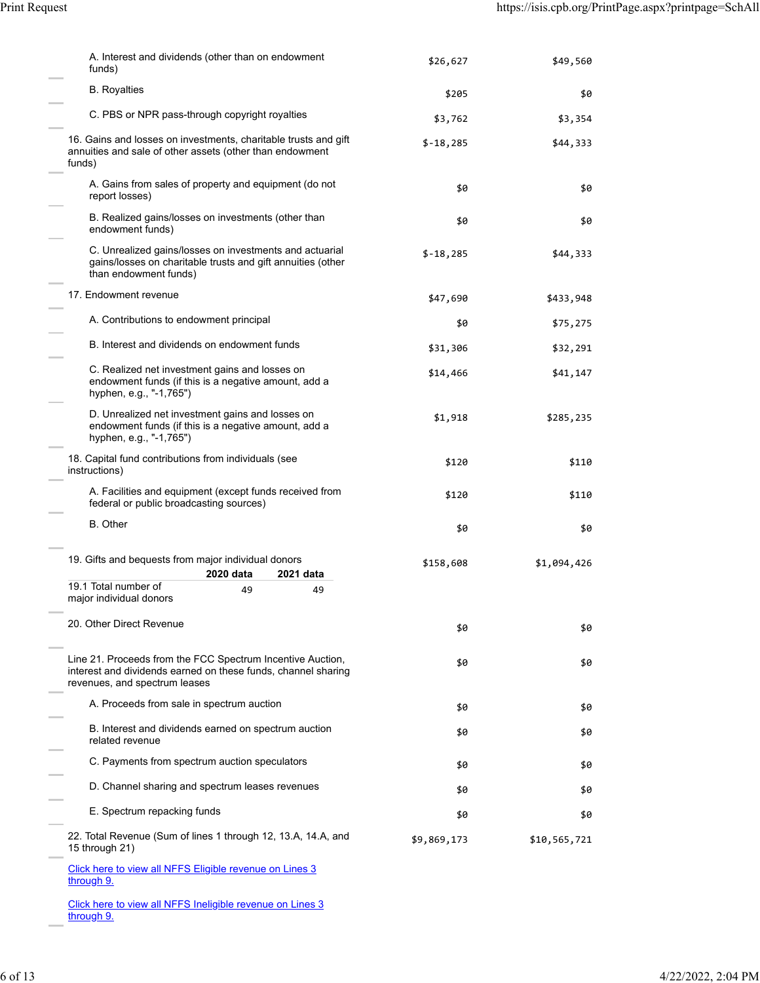| A. Interest and dividends (other than on endowment<br>funds)                                                                                                 | \$26,627    | \$49,560     |
|--------------------------------------------------------------------------------------------------------------------------------------------------------------|-------------|--------------|
| <b>B.</b> Royalties                                                                                                                                          | \$205       | \$0          |
| C. PBS or NPR pass-through copyright royalties                                                                                                               | \$3,762     | \$3,354      |
| 16. Gains and losses on investments, charitable trusts and gift<br>annuities and sale of other assets (other than endowment<br>funds)                        | $$-18,285$  | \$44,333     |
| A. Gains from sales of property and equipment (do not<br>report losses)                                                                                      | \$0         | \$0          |
| B. Realized gains/losses on investments (other than<br>endowment funds)                                                                                      | \$0         | \$0          |
| C. Unrealized gains/losses on investments and actuarial<br>gains/losses on charitable trusts and gift annuities (other<br>than endowment funds)              | $$-18,285$  | \$44,333     |
| 17. Endowment revenue                                                                                                                                        | \$47,690    | \$433,948    |
| A. Contributions to endowment principal                                                                                                                      | \$0         | \$75,275     |
| B. Interest and dividends on endowment funds                                                                                                                 | \$31,306    | \$32,291     |
| C. Realized net investment gains and losses on<br>endowment funds (if this is a negative amount, add a<br>hyphen, e.g., "-1,765")                            | \$14,466    | \$41,147     |
| D. Unrealized net investment gains and losses on<br>endowment funds (if this is a negative amount, add a<br>hyphen, e.g., "-1,765")                          | \$1,918     | \$285,235    |
| 18. Capital fund contributions from individuals (see<br>instructions)                                                                                        | \$120       | \$110        |
| A. Facilities and equipment (except funds received from<br>federal or public broadcasting sources)                                                           | \$120       | \$110        |
| <b>B.</b> Other                                                                                                                                              | \$0         | \$0          |
| 19. Gifts and bequests from major individual donors<br>2020 data<br>2021 data                                                                                | \$158,608   | \$1,094,426  |
| 19.1 Total number of<br>49<br>49<br>major individual donors                                                                                                  |             |              |
| 20. Other Direct Revenue                                                                                                                                     | \$0         | \$0          |
| Line 21. Proceeds from the FCC Spectrum Incentive Auction,<br>interest and dividends earned on these funds, channel sharing<br>revenues, and spectrum leases | \$0         | \$0          |
| A. Proceeds from sale in spectrum auction                                                                                                                    | \$0         | \$0          |
| B. Interest and dividends earned on spectrum auction<br>related revenue                                                                                      | \$0         | \$0          |
| C. Payments from spectrum auction speculators                                                                                                                | \$0         | \$0          |
| D. Channel sharing and spectrum leases revenues                                                                                                              | \$0         | \$0          |
| E. Spectrum repacking funds                                                                                                                                  | \$0         | \$0          |
| 22. Total Revenue (Sum of lines 1 through 12, 13.A, 14.A, and<br>15 through 21)                                                                              | \$9,869,173 | \$10,565,721 |
| Click here to view all NFFS Eligible revenue on Lines 3<br>through 9.                                                                                        |             |              |

Click here to view all NFFS Ineligible revenue on Lines 3 through 9.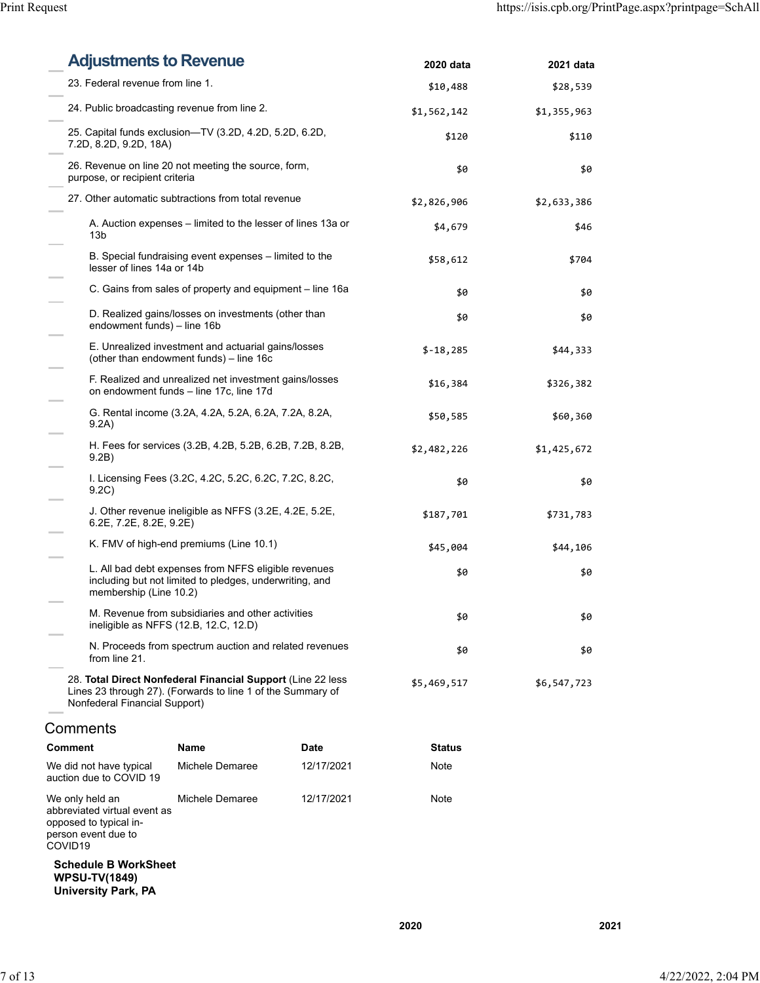| <b>Adjustments to Revenue</b>                                                                                           |                                                                                                                             |            | 2020 data     | 2021 data   |
|-------------------------------------------------------------------------------------------------------------------------|-----------------------------------------------------------------------------------------------------------------------------|------------|---------------|-------------|
|                                                                                                                         | 23. Federal revenue from line 1.                                                                                            |            |               | \$28,539    |
| 24. Public broadcasting revenue from line 2.                                                                            |                                                                                                                             |            | \$1,562,142   | \$1,355,963 |
| 7.2D, 8.2D, 9.2D, 18A)                                                                                                  | 25. Capital funds exclusion—TV (3.2D, 4.2D, 5.2D, 6.2D,                                                                     |            | \$120         | \$110       |
| purpose, or recipient criteria                                                                                          | 26. Revenue on line 20 not meeting the source, form,                                                                        |            | \$0           | \$0         |
|                                                                                                                         | 27. Other automatic subtractions from total revenue                                                                         |            | \$2,826,906   | \$2,633,386 |
| 13 <sub>b</sub>                                                                                                         | A. Auction expenses – limited to the lesser of lines 13a or                                                                 |            | \$4,679       | \$46        |
| lesser of lines 14a or 14b                                                                                              | B. Special fundraising event expenses - limited to the                                                                      |            | \$58,612      | \$704       |
|                                                                                                                         | C. Gains from sales of property and equipment – line 16a                                                                    |            | \$0           | \$0         |
| endowment funds) - line 16b                                                                                             | D. Realized gains/losses on investments (other than                                                                         |            | \$0           | \$0         |
|                                                                                                                         | E. Unrealized investment and actuarial gains/losses<br>(other than endowment funds) - line 16c                              |            | $$-18,285$    | \$44,333    |
|                                                                                                                         | F. Realized and unrealized net investment gains/losses<br>on endowment funds - line 17c, line 17d                           |            | \$16,384      | \$326,382   |
| 9.2A)                                                                                                                   | G. Rental income (3.2A, 4.2A, 5.2A, 6.2A, 7.2A, 8.2A,                                                                       |            | \$50,585      | \$60,360    |
| 9.2B)                                                                                                                   | H. Fees for services (3.2B, 4.2B, 5.2B, 6.2B, 7.2B, 8.2B,                                                                   |            | \$2,482,226   | \$1,425,672 |
| 9.2C                                                                                                                    | I. Licensing Fees (3.2C, 4.2C, 5.2C, 6.2C, 7.2C, 8.2C,                                                                      |            | \$0           | \$0         |
|                                                                                                                         | J. Other revenue ineligible as NFFS (3.2E, 4.2E, 5.2E,<br>6.2E, 7.2E, 8.2E, 9.2E)                                           |            |               | \$731,783   |
|                                                                                                                         | K. FMV of high-end premiums (Line 10.1)                                                                                     |            | \$45,004      | \$44,106    |
| membership (Line 10.2)                                                                                                  | L. All bad debt expenses from NFFS eligible revenues<br>including but not limited to pledges, underwriting, and             |            | \$0           | \$0         |
|                                                                                                                         | M. Revenue from subsidiaries and other activities<br>ineligible as NFFS (12.B, 12.C, 12.D)                                  |            | \$0           | \$0         |
| from line 21.                                                                                                           | N. Proceeds from spectrum auction and related revenues                                                                      |            | \$0           | \$0         |
| Nonfederal Financial Support)                                                                                           | 28. Total Direct Nonfederal Financial Support (Line 22 less)<br>Lines 23 through 27). (Forwards to line 1 of the Summary of |            | \$5,469,517   | \$6,547,723 |
| Comments                                                                                                                |                                                                                                                             |            |               |             |
| <b>Comment</b>                                                                                                          | <b>Name</b>                                                                                                                 | Date       | <b>Status</b> |             |
| We did not have typical<br>auction due to COVID 19                                                                      | Michele Demaree                                                                                                             | 12/17/2021 | Note          |             |
| We only held an<br>abbreviated virtual event as<br>opposed to typical in-<br>person event due to<br>COVID <sub>19</sub> | Michele Demaree                                                                                                             | 12/17/2021 | Note          |             |
| <b>Schedule B WorkSheet</b><br><b>WPSU-TV(1849)</b><br><b>University Park, PA</b>                                       |                                                                                                                             |            |               |             |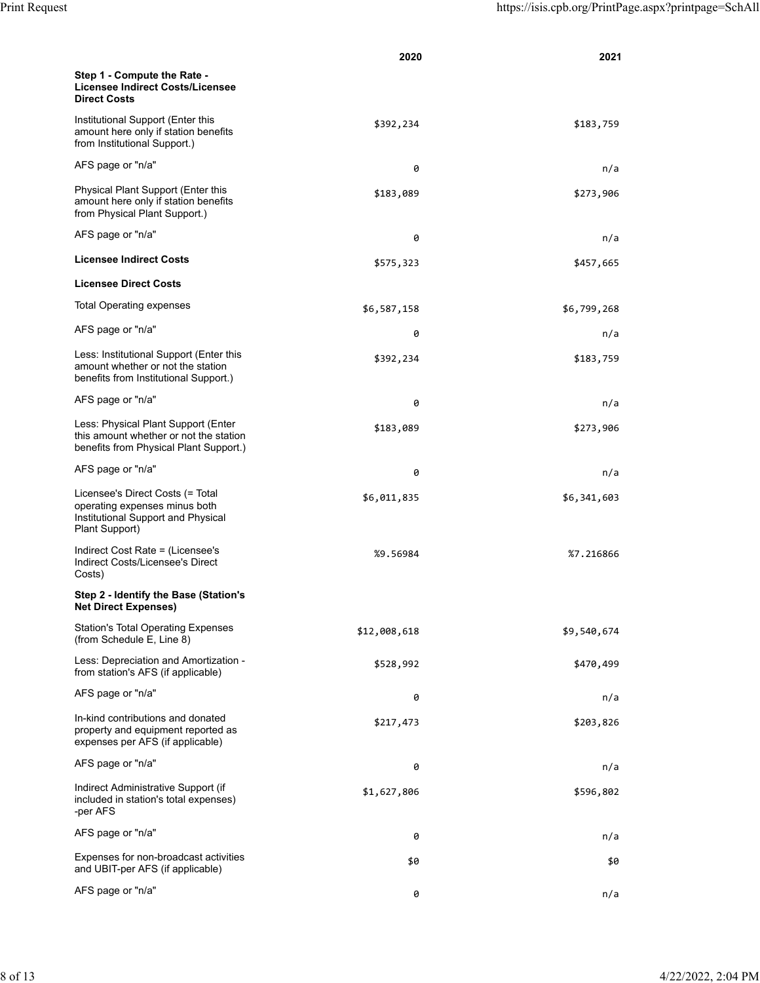|                                                                                                                           | 2020         | 2021        |
|---------------------------------------------------------------------------------------------------------------------------|--------------|-------------|
| Step 1 - Compute the Rate -<br>Licensee Indirect Costs/Licensee<br><b>Direct Costs</b>                                    |              |             |
| Institutional Support (Enter this<br>amount here only if station benefits<br>from Institutional Support.)                 | \$392,234    | \$183,759   |
| AFS page or "n/a"                                                                                                         | 0            | n/a         |
| Physical Plant Support (Enter this<br>amount here only if station benefits<br>from Physical Plant Support.)               | \$183,089    | \$273,906   |
| AFS page or "n/a"                                                                                                         | 0            | n/a         |
| <b>Licensee Indirect Costs</b>                                                                                            | \$575,323    | \$457,665   |
| <b>Licensee Direct Costs</b>                                                                                              |              |             |
| <b>Total Operating expenses</b>                                                                                           | \$6,587,158  | \$6,799,268 |
| AFS page or "n/a"                                                                                                         | 0            | n/a         |
| Less: Institutional Support (Enter this<br>amount whether or not the station<br>benefits from Institutional Support.)     | \$392,234    | \$183,759   |
| AFS page or "n/a"                                                                                                         | 0            | n/a         |
| Less: Physical Plant Support (Enter<br>this amount whether or not the station<br>benefits from Physical Plant Support.)   | \$183,089    | \$273,906   |
| AFS page or "n/a"                                                                                                         | 0            | n/a         |
| Licensee's Direct Costs (= Total<br>operating expenses minus both<br>Institutional Support and Physical<br>Plant Support) | \$6,011,835  | \$6,341,603 |
| Indirect Cost Rate = (Licensee's<br>Indirect Costs/Licensee's Direct<br>Costs)                                            | %9.56984     | %7.216866   |
| Step 2 - Identify the Base (Station's<br><b>Net Direct Expenses)</b>                                                      |              |             |
| <b>Station's Total Operating Expenses</b><br>(from Schedule E, Line 8)                                                    | \$12,008,618 | \$9,540,674 |
| Less: Depreciation and Amortization -<br>from station's AFS (if applicable)                                               | \$528,992    | \$470,499   |
| AFS page or "n/a"                                                                                                         | 0            | n/a         |
| In-kind contributions and donated<br>property and equipment reported as<br>expenses per AFS (if applicable)               | \$217,473    | \$203,826   |
| AFS page or "n/a"                                                                                                         | 0            | n/a         |
| Indirect Administrative Support (if<br>included in station's total expenses)<br>-per AFS                                  | \$1,627,806  | \$596,802   |
| AFS page or "n/a"                                                                                                         | 0            | n/a         |
| Expenses for non-broadcast activities<br>and UBIT-per AFS (if applicable)                                                 | \$0          | \$0         |
| AFS page or "n/a"                                                                                                         | 0            | n/a         |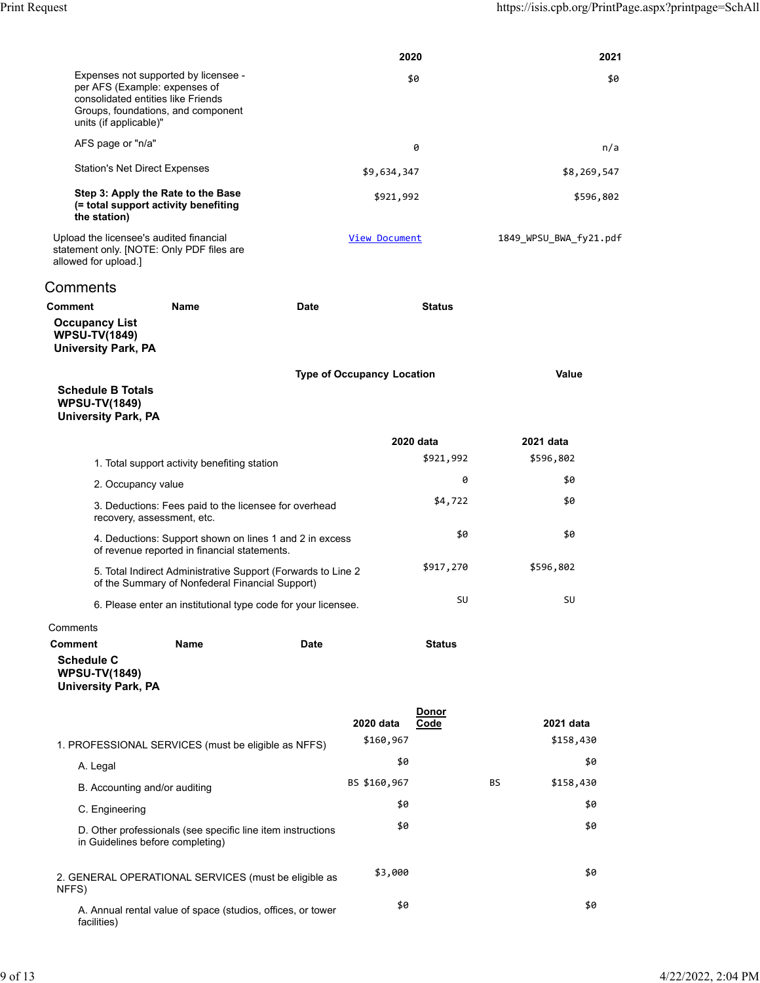|                                                                                                                                                                             |                                                               |                                   | 2020                 |     | 2021                   |
|-----------------------------------------------------------------------------------------------------------------------------------------------------------------------------|---------------------------------------------------------------|-----------------------------------|----------------------|-----|------------------------|
| Expenses not supported by licensee -<br>per AFS (Example: expenses of<br>consolidated entities like Friends<br>Groups, foundations, and component<br>units (if applicable)" |                                                               | \$0                               |                      |     | \$0                    |
| AFS page or "n/a"                                                                                                                                                           |                                                               |                                   | 0                    |     | n/a                    |
| <b>Station's Net Direct Expenses</b>                                                                                                                                        |                                                               | \$9,634,347                       |                      |     | \$8,269,547            |
| Step 3: Apply the Rate to the Base<br>(= total support activity benefiting<br>the station)                                                                                  |                                                               | \$921,992                         |                      |     | \$596,802              |
| Upload the licensee's audited financial<br>statement only. [NOTE: Only PDF files are<br>allowed for upload.]                                                                |                                                               | View Document                     |                      |     | 1849 WPSU BWA fy21.pdf |
| Comments                                                                                                                                                                    |                                                               |                                   |                      |     |                        |
| Name<br>Comment                                                                                                                                                             | <b>Date</b>                                                   |                                   | <b>Status</b>        |     |                        |
| <b>Occupancy List</b><br><b>WPSU-TV(1849)</b><br><b>University Park, PA</b>                                                                                                 |                                                               |                                   |                      |     |                        |
|                                                                                                                                                                             |                                                               | <b>Type of Occupancy Location</b> |                      |     | Value                  |
| <b>Schedule B Totals</b><br><b>WPSU-TV(1849)</b><br><b>University Park, PA</b>                                                                                              |                                                               |                                   |                      |     |                        |
|                                                                                                                                                                             |                                                               |                                   | 2020 data            |     | 2021 data              |
| 1. Total support activity benefiting station                                                                                                                                |                                                               |                                   | \$921,992            |     | \$596,802              |
| 2. Occupancy value                                                                                                                                                          |                                                               |                                   | 0                    |     | \$0                    |
| recovery, assessment, etc.                                                                                                                                                  | 3. Deductions: Fees paid to the licensee for overhead         |                                   | \$4,722              |     | \$0                    |
| of revenue reported in financial statements.                                                                                                                                | 4. Deductions: Support shown on lines 1 and 2 in excess       |                                   | \$0                  |     | \$0                    |
| of the Summary of Nonfederal Financial Support)                                                                                                                             | 5. Total Indirect Administrative Support (Forwards to Line 2  |                                   | \$917,270            |     | \$596,802              |
|                                                                                                                                                                             | 6. Please enter an institutional type code for your licensee. |                                   | SU                   |     | SU                     |
| Comments                                                                                                                                                                    |                                                               |                                   |                      |     |                        |
| <b>Comment</b><br>Name<br><b>Schedule C</b><br><b>WPSU-TV(1849)</b><br><b>University Park, PA</b>                                                                           | Date                                                          |                                   | <b>Status</b>        |     |                        |
|                                                                                                                                                                             |                                                               | 2020 data<br>\$160,967            | <b>Donor</b><br>Code |     | 2021 data<br>\$158,430 |
| 1. PROFESSIONAL SERVICES (must be eligible as NFFS)                                                                                                                         |                                                               | \$0                               |                      |     | \$0                    |
| A. Legal                                                                                                                                                                    |                                                               | BS \$160,967                      |                      | BS. | \$158,430              |
| B. Accounting and/or auditing                                                                                                                                               |                                                               | \$0                               |                      |     | \$0                    |
| C. Engineering                                                                                                                                                              |                                                               | \$0                               |                      |     | \$0                    |
| D. Other professionals (see specific line item instructions<br>in Guidelines before completing)                                                                             |                                                               |                                   |                      |     |                        |
| 2. GENERAL OPERATIONAL SERVICES (must be eligible as<br>NFFS)                                                                                                               |                                                               | \$3,000                           |                      |     | \$0                    |
| A. Annual rental value of space (studios, offices, or tower<br>facilities)                                                                                                  |                                                               | \$0                               |                      |     | \$0                    |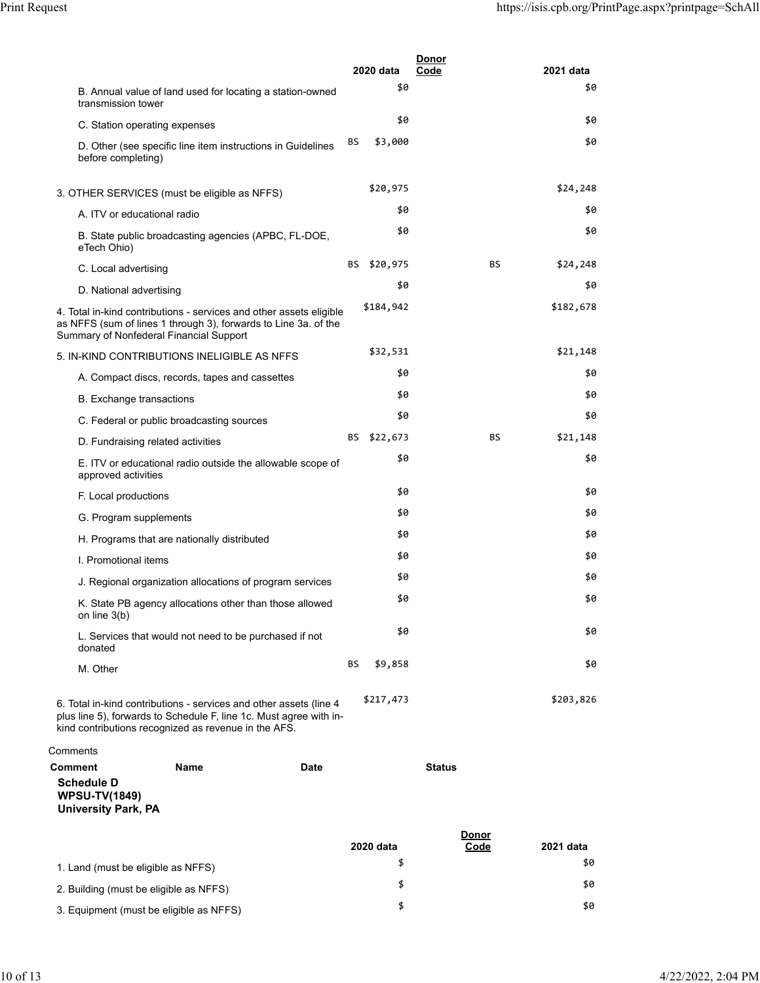|                                                                                           |                                                                                                                                                                                                   |      |     | 2020 data   | <u>Donor</u><br>Code |                      | 2021 data |
|-------------------------------------------------------------------------------------------|---------------------------------------------------------------------------------------------------------------------------------------------------------------------------------------------------|------|-----|-------------|----------------------|----------------------|-----------|
|                                                                                           |                                                                                                                                                                                                   |      |     | \$0         |                      |                      | \$0       |
| transmission tower                                                                        | B. Annual value of land used for locating a station-owned                                                                                                                                         |      |     |             |                      |                      |           |
|                                                                                           | C. Station operating expenses                                                                                                                                                                     |      |     | \$0         |                      |                      | \$0       |
| before completing)                                                                        | D. Other (see specific line item instructions in Guidelines                                                                                                                                       |      | BS. | \$3,000     |                      |                      | \$0       |
|                                                                                           | 3. OTHER SERVICES (must be eligible as NFFS)                                                                                                                                                      |      |     | \$20,975    |                      |                      | \$24,248  |
|                                                                                           | A. ITV or educational radio                                                                                                                                                                       |      |     | \$0         |                      |                      | \$0       |
| eTech Ohio)                                                                               | B. State public broadcasting agencies (APBC, FL-DOE,                                                                                                                                              |      |     | \$0         |                      |                      | \$0       |
| C. Local advertising                                                                      |                                                                                                                                                                                                   |      |     | BS \$20,975 |                      | BS.                  | \$24,248  |
| D. National advertising                                                                   |                                                                                                                                                                                                   |      |     | \$0         |                      |                      | \$0       |
|                                                                                           | 4. Total in-kind contributions - services and other assets eligible<br>as NFFS (sum of lines 1 through 3), forwards to Line 3a. of the<br>Summary of Nonfederal Financial Support                 |      |     | \$184,942   |                      |                      | \$182,678 |
|                                                                                           | 5. IN-KIND CONTRIBUTIONS INELIGIBLE AS NFFS                                                                                                                                                       |      |     | \$32,531    |                      |                      | \$21,148  |
|                                                                                           | A. Compact discs, records, tapes and cassettes                                                                                                                                                    |      |     | \$0         |                      |                      | \$0       |
|                                                                                           | <b>B.</b> Exchange transactions                                                                                                                                                                   |      |     | \$0         |                      |                      | \$0       |
|                                                                                           | C. Federal or public broadcasting sources                                                                                                                                                         |      |     | \$0         |                      |                      | \$0       |
|                                                                                           | D. Fundraising related activities                                                                                                                                                                 |      |     | BS \$22,673 |                      | BS.                  | \$21,148  |
| approved activities                                                                       | E. ITV or educational radio outside the allowable scope of                                                                                                                                        |      |     | \$0         |                      |                      | \$0       |
| F. Local productions                                                                      |                                                                                                                                                                                                   |      |     | \$0         |                      |                      | \$0       |
| G. Program supplements                                                                    |                                                                                                                                                                                                   |      |     | \$0         |                      |                      | \$0       |
|                                                                                           | H. Programs that are nationally distributed                                                                                                                                                       |      |     | \$0         |                      |                      | \$0       |
| I. Promotional items                                                                      |                                                                                                                                                                                                   |      |     | \$0         |                      |                      | \$0       |
|                                                                                           | J. Regional organization allocations of program services                                                                                                                                          |      |     | \$0         |                      |                      | \$0       |
| on line $3(b)$                                                                            | K. State PB agency allocations other than those allowed                                                                                                                                           |      |     | \$0         |                      |                      | \$0       |
|                                                                                           | L. Services that would not need to be purchased if not                                                                                                                                            |      |     | \$0         |                      |                      | \$0       |
| donated<br>M. Other                                                                       |                                                                                                                                                                                                   |      | BS  | \$9,858     |                      |                      | \$0       |
|                                                                                           | 6. Total in-kind contributions - services and other assets (line 4)<br>plus line 5), forwards to Schedule F, line 1c. Must agree with in-<br>kind contributions recognized as revenue in the AFS. |      |     | \$217,473   |                      |                      | \$203,826 |
| Comments                                                                                  |                                                                                                                                                                                                   |      |     |             |                      |                      |           |
| <b>Comment</b><br><b>Schedule D</b><br><b>WPSU-TV(1849)</b><br><b>University Park, PA</b> | <b>Name</b>                                                                                                                                                                                       | Date |     |             | <b>Status</b>        |                      |           |
|                                                                                           |                                                                                                                                                                                                   |      |     | 2020 data   |                      | <u>Donor</u><br>Code | 2021 data |
|                                                                                           |                                                                                                                                                                                                   |      |     | \$          |                      |                      | \$0       |
|                                                                                           | 1. Land (must be eligible as NFFS)                                                                                                                                                                |      |     | \$          |                      |                      | \$0       |
|                                                                                           | 2. Building (must be eligible as NFFS)                                                                                                                                                            |      |     |             |                      |                      |           |

3. Equipment (must be eligible as NFFS)  $\overline{\phantom{1}}^{3}$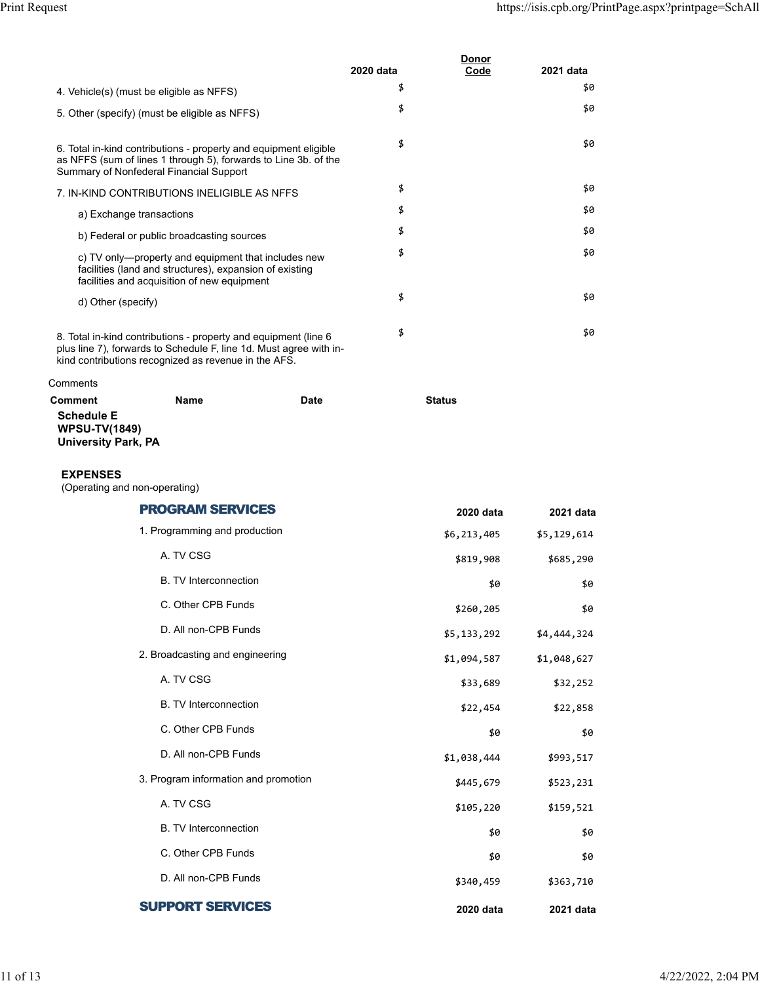|                                                                                    |                                                                                                                                                                                               |             | 2020 data | <u>Donor</u><br>Code | 2021 data   |
|------------------------------------------------------------------------------------|-----------------------------------------------------------------------------------------------------------------------------------------------------------------------------------------------|-------------|-----------|----------------------|-------------|
|                                                                                    | 4. Vehicle(s) (must be eligible as NFFS)                                                                                                                                                      |             | \$        |                      | 50          |
|                                                                                    | 5. Other (specify) (must be eligible as NFFS)                                                                                                                                                 |             | \$        |                      | \$0         |
|                                                                                    | 6. Total in-kind contributions - property and equipment eligible<br>as NFFS (sum of lines 1 through 5), forwards to Line 3b. of the<br>Summary of Nonfederal Financial Support                |             | \$        |                      | \$0         |
|                                                                                    | 7. IN-KIND CONTRIBUTIONS INELIGIBLE AS NFFS                                                                                                                                                   |             | \$        |                      | \$0         |
| a) Exchange transactions                                                           |                                                                                                                                                                                               |             | \$        |                      | \$0         |
|                                                                                    | b) Federal or public broadcasting sources                                                                                                                                                     |             | \$        |                      | \$0         |
|                                                                                    | c) TV only—property and equipment that includes new<br>facilities (land and structures), expansion of existing<br>facilities and acquisition of new equipment                                 |             | \$        |                      | \$0         |
| d) Other (specify)                                                                 |                                                                                                                                                                                               |             | \$        |                      | \$0         |
|                                                                                    | 8. Total in-kind contributions - property and equipment (line 6<br>plus line 7), forwards to Schedule F, line 1d. Must agree with in-<br>kind contributions recognized as revenue in the AFS. |             | \$        |                      | \$0         |
| Comments                                                                           |                                                                                                                                                                                               |             |           |                      |             |
| Comment<br><b>Schedule E</b><br><b>WPSU-TV(1849)</b><br><b>University Park, PA</b> | <b>Name</b>                                                                                                                                                                                   | <b>Date</b> |           | <b>Status</b>        |             |
| <b>EXPENSES</b><br>(Operating and non-operating)                                   |                                                                                                                                                                                               |             |           |                      |             |
|                                                                                    | <b>PROGRAM SERVICES</b>                                                                                                                                                                       |             |           | 2020 data            | 2021 data   |
|                                                                                    | 1. Programming and production                                                                                                                                                                 |             |           | \$6,213,405          | \$5,129,614 |
|                                                                                    | A. TV CSG                                                                                                                                                                                     |             |           | \$819,908            | \$685,290   |
|                                                                                    | <b>B. TV Interconnection</b>                                                                                                                                                                  |             |           | \$0                  | \$0         |
|                                                                                    | C. Other CPB Funds                                                                                                                                                                            |             |           | \$260,205            | \$0         |
|                                                                                    | D. All non-CPB Funds                                                                                                                                                                          |             |           | \$5,133,292          | \$4,444,324 |
|                                                                                    | 2. Broadcasting and engineering                                                                                                                                                               |             |           | \$1,094,587          | \$1,048,627 |
|                                                                                    | A. TV CSG                                                                                                                                                                                     |             |           | \$33,689             | \$32,252    |
|                                                                                    | <b>B. TV Interconnection</b>                                                                                                                                                                  |             |           | \$22,454             | \$22,858    |
|                                                                                    | C. Other CPB Funds                                                                                                                                                                            |             |           | \$0                  | \$0         |
|                                                                                    | D. All non-CPB Funds                                                                                                                                                                          |             |           | \$1,038,444          | \$993,517   |
|                                                                                    | 3. Program information and promotion                                                                                                                                                          |             |           | \$445,679            | \$523,231   |
|                                                                                    | A. TV CSG                                                                                                                                                                                     |             |           | \$105,220            | \$159,521   |
|                                                                                    | <b>B. TV Interconnection</b>                                                                                                                                                                  |             |           | \$0                  | \$0         |
|                                                                                    | C. Other CPB Funds                                                                                                                                                                            |             |           | \$0                  | \$0         |
|                                                                                    | D. All non-CPB Funds                                                                                                                                                                          |             |           | \$340,459            | \$363,710   |
|                                                                                    | <b>SUPPORT SERVICES</b>                                                                                                                                                                       |             |           | 2020 data            | 2021 data   |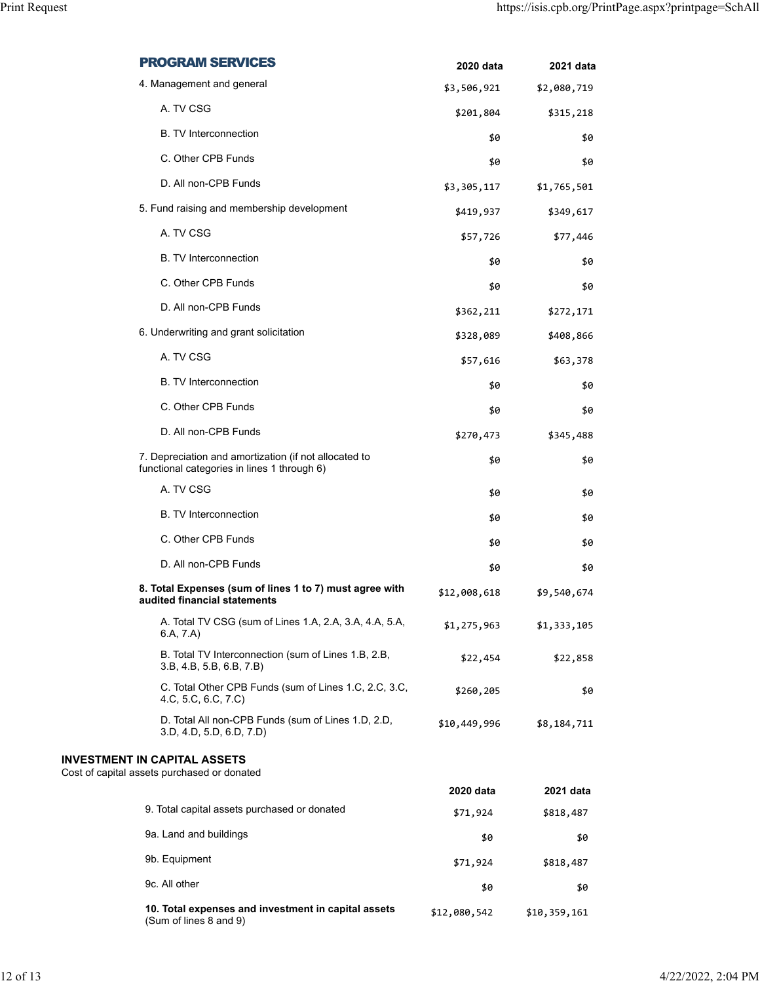| <b>PROGRAM SERVICES</b>                                                                              | 2020 data    | 2021 data    |
|------------------------------------------------------------------------------------------------------|--------------|--------------|
| 4. Management and general                                                                            | \$3,506,921  | \$2,080,719  |
| A. TV CSG                                                                                            | \$201,804    | \$315,218    |
| <b>B.</b> TV Interconnection                                                                         | \$0          | \$0          |
| C. Other CPB Funds                                                                                   | \$0          | \$0          |
| D. All non-CPB Funds                                                                                 | \$3,305,117  | \$1,765,501  |
| 5. Fund raising and membership development                                                           | \$419,937    | \$349,617    |
| A. TV CSG                                                                                            | \$57,726     | \$77,446     |
| <b>B.</b> TV Interconnection                                                                         | \$0          | \$0          |
| C. Other CPB Funds                                                                                   | \$0          | \$0          |
| D. All non-CPB Funds                                                                                 | \$362,211    | \$272,171    |
| 6. Underwriting and grant solicitation                                                               | \$328,089    | \$408,866    |
| A. TV CSG                                                                                            | \$57,616     | \$63,378     |
| <b>B.</b> TV Interconnection                                                                         | \$0          | \$0          |
| C. Other CPB Funds                                                                                   | \$0          | \$0          |
| D. All non-CPB Funds                                                                                 | \$270,473    | \$345,488    |
| 7. Depreciation and amortization (if not allocated to<br>functional categories in lines 1 through 6) | \$0          | \$0          |
| A. TV CSG                                                                                            | \$0          | \$0          |
| <b>B.</b> TV Interconnection                                                                         | \$0          | \$0          |
| C. Other CPB Funds                                                                                   | \$0          | \$0          |
| D. All non-CPB Funds                                                                                 | \$0          | \$0          |
| 8. Total Expenses (sum of lines 1 to 7) must agree with<br>audited financial statements              | \$12,008,618 | \$9,540,674  |
| A. Total TV CSG (sum of Lines 1.A, 2.A, 3.A, 4.A, 5.A,<br>6.A, 7.A)                                  | \$1,275,963  | \$1,333,105  |
| B. Total TV Interconnection (sum of Lines 1.B, 2.B,<br>3.B, 4.B, 5.B, 6.B, 7.B)                      | \$22,454     | \$22,858     |
| C. Total Other CPB Funds (sum of Lines 1.C, 2.C, 3.C,<br>4.C, 5.C, 6.C, 7.C)                         | \$260,205    | \$0          |
| D. Total All non-CPB Funds (sum of Lines 1.D, 2.D,<br>3.D, 4.D, 5.D, 6.D, 7.D                        | \$10,449,996 | \$8,184,711  |
| INVESTMENT IN CAPITAL ASSETS<br>Cost of capital assets purchased or donated                          |              |              |
|                                                                                                      | 2020 data    | 2021 data    |
| 9. Total capital assets purchased or donated                                                         | \$71,924     | \$818,487    |
| 9a. Land and buildings                                                                               | \$0          | \$0          |
| 9b. Equipment                                                                                        | \$71,924     | \$818,487    |
| 9c. All other                                                                                        | \$0          | \$0          |
| 10. Total expenses and investment in capital assets<br>(Sum of lines 8 and 9)                        | \$12,080,542 | \$10,359,161 |